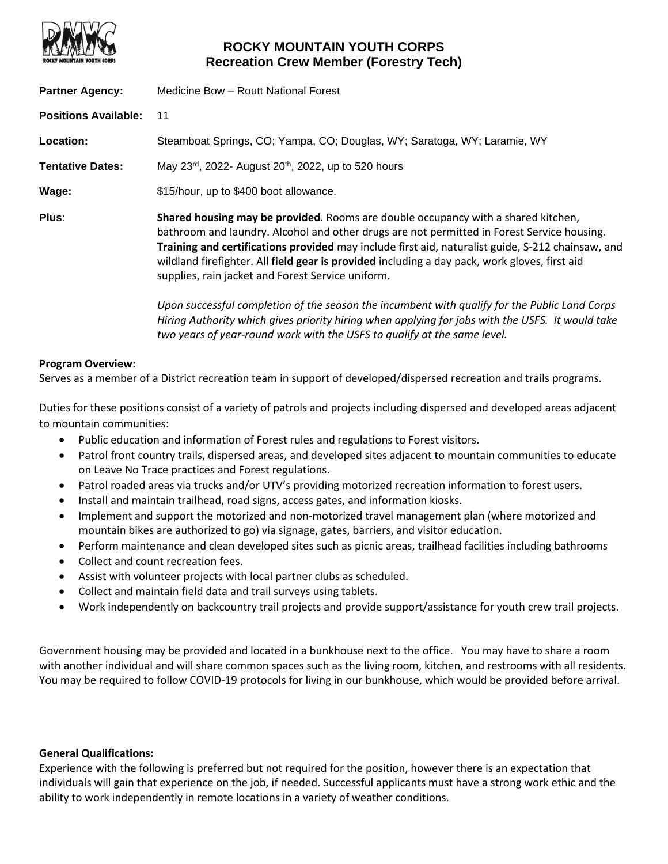

# **ROCKY MOUNTAIN YOUTH CORPS Recreation Crew Member (Forestry Tech)**

| <b>Partner Agency:</b>      | Medicine Bow - Routt National Forest                                                                                                                                                                                                                                                                                                                                                                                                       |
|-----------------------------|--------------------------------------------------------------------------------------------------------------------------------------------------------------------------------------------------------------------------------------------------------------------------------------------------------------------------------------------------------------------------------------------------------------------------------------------|
| <b>Positions Available:</b> | 11                                                                                                                                                                                                                                                                                                                                                                                                                                         |
| Location:                   | Steamboat Springs, CO; Yampa, CO; Douglas, WY; Saratoga, WY; Laramie, WY                                                                                                                                                                                                                                                                                                                                                                   |
| <b>Tentative Dates:</b>     | May 23rd, 2022- August 20 <sup>th</sup> , 2022, up to 520 hours                                                                                                                                                                                                                                                                                                                                                                            |
| Wage:                       | \$15/hour, up to \$400 boot allowance.                                                                                                                                                                                                                                                                                                                                                                                                     |
| Plus:                       | Shared housing may be provided. Rooms are double occupancy with a shared kitchen,<br>bathroom and laundry. Alcohol and other drugs are not permitted in Forest Service housing.<br>Training and certifications provided may include first aid, naturalist guide, S-212 chainsaw, and<br>wildland firefighter. All field gear is provided including a day pack, work gloves, first aid<br>supplies, rain jacket and Forest Service uniform. |
|                             | Upon successful completion of the season the incumbent with qualify for the Public Land Corps<br>Hiring Authority which gives priority hiring when applying for jobs with the USFS. It would take<br>two years of year-round work with the USFS to qualify at the same level.                                                                                                                                                              |

#### **Program Overview:**

Serves as a member of a District recreation team in support of developed/dispersed recreation and trails programs.

Duties for these positions consist of a variety of patrols and projects including dispersed and developed areas adjacent to mountain communities:

- Public education and information of Forest rules and regulations to Forest visitors.
- Patrol front country trails, dispersed areas, and developed sites adjacent to mountain communities to educate on Leave No Trace practices and Forest regulations.
- Patrol roaded areas via trucks and/or UTV's providing motorized recreation information to forest users.
- Install and maintain trailhead, road signs, access gates, and information kiosks.
- Implement and support the motorized and non-motorized travel management plan (where motorized and mountain bikes are authorized to go) via signage, gates, barriers, and visitor education.
- Perform maintenance and clean developed sites such as picnic areas, trailhead facilities including bathrooms
- Collect and count recreation fees.
- Assist with volunteer projects with local partner clubs as scheduled.
- Collect and maintain field data and trail surveys using tablets.
- Work independently on backcountry trail projects and provide support/assistance for youth crew trail projects.

Government housing may be provided and located in a bunkhouse next to the office. You may have to share a room with another individual and will share common spaces such as the living room, kitchen, and restrooms with all residents. You may be required to follow COVID-19 protocols for living in our bunkhouse, which would be provided before arrival.

#### **General Qualifications:**

Experience with the following is preferred but not required for the position, however there is an expectation that individuals will gain that experience on the job, if needed. Successful applicants must have a strong work ethic and the ability to work independently in remote locations in a variety of weather conditions.